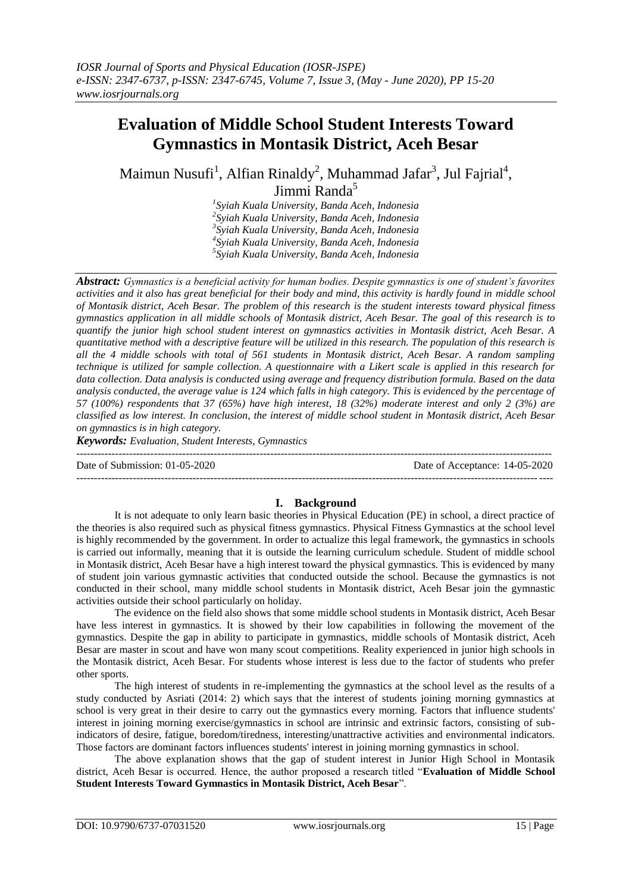# **Evaluation of Middle School Student Interests Toward Gymnastics in Montasik District, Aceh Besar**

Maimun Nusufi<sup>1</sup>, Alfian Rinaldy<sup>2</sup>, Muhammad Jafar<sup>3</sup>, Jul Fajrial<sup>4</sup>, Jimmi Randa<sup>5</sup>

> *Syiah Kuala University, Banda Aceh, Indonesia Syiah Kuala University, Banda Aceh, Indonesia Syiah Kuala University, Banda Aceh, Indonesia Syiah Kuala University, Banda Aceh, Indonesia Syiah Kuala University, Banda Aceh, Indonesia*

*Abstract: Gymnastics is a beneficial activity for human bodies. Despite gymnastics is one of student's favorites activities and it also has great beneficial for their body and mind, this activity is hardly found in middle school of Montasik district, Aceh Besar. The problem of this research is the student interests toward physical fitness gymnastics application in all middle schools of Montasik district, Aceh Besar. The goal of this research is to quantify the junior high school student interest on gymnastics activities in Montasik district, Aceh Besar. A quantitative method with a descriptive feature will be utilized in this research. The population of this research is all the 4 middle schools with total of 561 students in Montasik district, Aceh Besar. A random sampling technique is utilized for sample collection. A questionnaire with a Likert scale is applied in this research for data collection. Data analysis is conducted using average and frequency distribution formula. Based on the data analysis conducted, the average value is 124 which falls in high category. This is evidenced by the percentage of 57 (100%) respondents that 37 (65%) have high interest, 18 (32%) moderate interest and only 2 (3%) are classified as low interest. In conclusion, the interest of middle school student in Montasik district, Aceh Besar on gymnastics is in high category.*

*Keywords: Evaluation, Student Interests, Gymnastics*

--------------------------------------------------------------------------------------------------------------------------------------- Date of Submission: 01-05-2020 Date of Acceptance: 14-05-2020

# **I. Background**

---------------------------------------------------------------------------------------------------------------------------------------

It is not adequate to only learn basic theories in Physical Education (PE) in school, a direct practice of the theories is also required such as physical fitness gymnastics. Physical Fitness Gymnastics at the school level is highly recommended by the government. In order to actualize this legal framework, the gymnastics in schools is carried out informally, meaning that it is outside the learning curriculum schedule. Student of middle school in Montasik district, Aceh Besar have a high interest toward the physical gymnastics. This is evidenced by many of student join various gymnastic activities that conducted outside the school. Because the gymnastics is not conducted in their school, many middle school students in Montasik district, Aceh Besar join the gymnastic activities outside their school particularly on holiday.

The evidence on the field also shows that some middle school students in Montasik district, Aceh Besar have less interest in gymnastics. It is showed by their low capabilities in following the movement of the gymnastics. Despite the gap in ability to participate in gymnastics, middle schools of Montasik district, Aceh Besar are master in scout and have won many scout competitions. Reality experienced in junior high schools in the Montasik district, Aceh Besar. For students whose interest is less due to the factor of students who prefer other sports.

The high interest of students in re-implementing the gymnastics at the school level as the results of a study conducted by Asriati (2014: 2) which says that the interest of students joining morning gymnastics at school is very great in their desire to carry out the gymnastics every morning. Factors that influence students' interest in joining morning exercise/gymnastics in school are intrinsic and extrinsic factors, consisting of subindicators of desire, fatigue, boredom/tiredness, interesting/unattractive activities and environmental indicators. Those factors are dominant factors influences students' interest in joining morning gymnastics in school.

The above explanation shows that the gap of student interest in Junior High School in Montasik district, Aceh Besar is occurred. Hence, the author proposed a research titled "**Evaluation of Middle School Student Interests Toward Gymnastics in Montasik District, Aceh Besar**".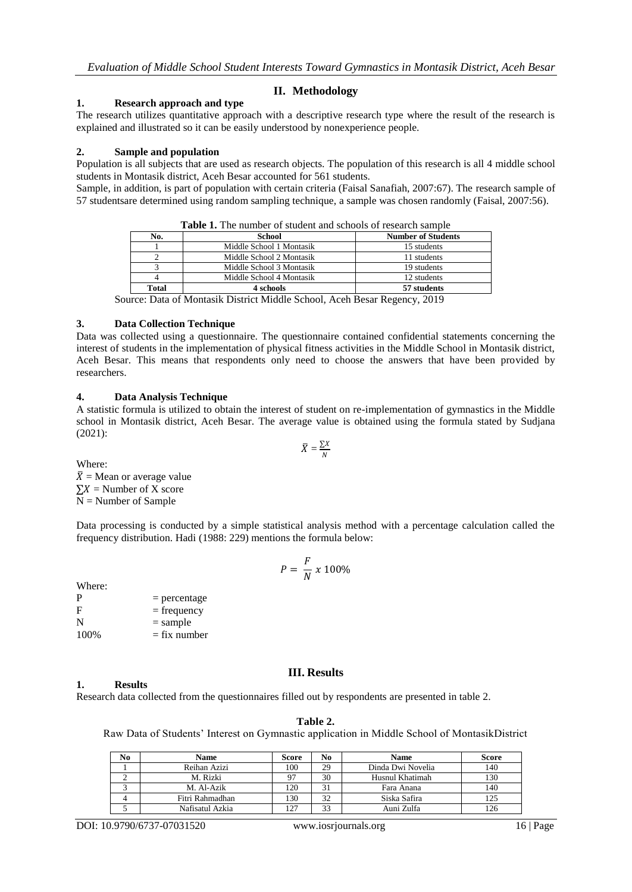# **II. Methodology**

## **1. Research approach and type**

The research utilizes quantitative approach with a descriptive research type where the result of the research is explained and illustrated so it can be easily understood by nonexperience people.

## **2. Sample and population**

Population is all subjects that are used as research objects. The population of this research is all 4 middle school students in Montasik district, Aceh Besar accounted for 561 students.

Sample, in addition, is part of population with certain criteria (Faisal Sanafiah, 2007:67). The research sample of 57 studentsare determined using random sampling technique, a sample was chosen randomly (Faisal, 2007:56).

| No.   | School                   | <b>Number of Students</b> |  |
|-------|--------------------------|---------------------------|--|
|       | Middle School 1 Montasik | 15 students               |  |
|       | Middle School 2 Montasik | 11 students               |  |
|       | Middle School 3 Montasik | 19 students               |  |
|       | Middle School 4 Montasik | 12 students               |  |
| Total | 4 schools                | 57 students               |  |

**Table 1.** The number of student and schools of research sample

Source: Data of Montasik District Middle School, Aceh Besar Regency, 2019

## **3. Data Collection Technique**

Data was collected using a questionnaire. The questionnaire contained confidential statements concerning the interest of students in the implementation of physical fitness activities in the Middle School in Montasik district, Aceh Besar. This means that respondents only need to choose the answers that have been provided by researchers.

## **4. Data Analysis Technique**

A statistic formula is utilized to obtain the interest of student on re-implementation of gymnastics in the Middle school in Montasik district, Aceh Besar. The average value is obtained using the formula stated by Sudjana (2021):

$$
\bar{X} = \frac{\sum X}{N}
$$

Where:  $\overline{X}$  = Mean or average value  $\sum X$  = Number of X score  $N =$  Number of Sample

Data processing is conducted by a simple statistical analysis method with a percentage calculation called the frequency distribution. Hadi (1988: 229) mentions the formula below:

$$
P = \frac{F}{N} \times 100\%
$$

Where:

| P    | $=$ percentage |
|------|----------------|
| F    | $=$ frequency  |
| N    | $=$ sample     |
| 100% | $=$ fix number |

# **III. Results**

#### **1. Results**

Research data collected from the questionnaires filled out by respondents are presented in table 2.

Raw Data of Students' Interest on Gymnastic application in Middle School of MontasikDistrict

| No | <b>Name</b>     | Score | No | <b>Name</b>       | <b>Score</b> |
|----|-----------------|-------|----|-------------------|--------------|
|    | Reihan Azizi    | 100   | 29 | Dinda Dwi Novelia | 140          |
|    | M. Rizki        |       | 30 | Husnul Khatimah   | 130          |
|    | M. Al-Azik      | 120   |    | Fara Anana        | 140          |
|    | Fitri Rahmadhan | 130   | 32 | Siska Safira      | 125          |
|    | Nafisatul Azkia | 127   | 33 | Auni Zulfa        | 126          |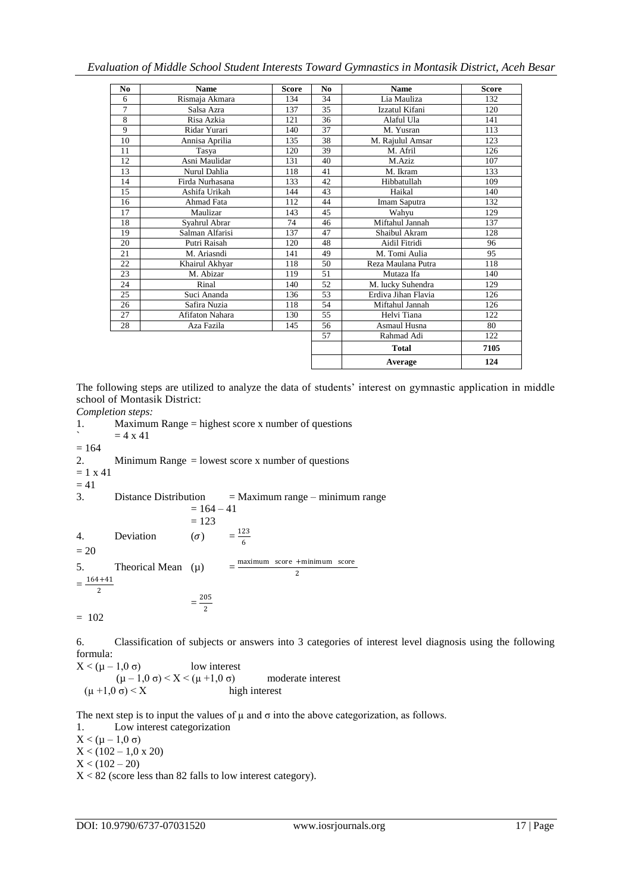# *Evaluation of Middle School Student Interests Toward Gymnastics in Montasik District, Aceh Besar*

| N <sub>0</sub> | <b>Name</b>     | <b>Score</b> | N <sub>0</sub> | <b>Name</b>         | <b>Score</b> |
|----------------|-----------------|--------------|----------------|---------------------|--------------|
| 6              | Rismaja Akmara  | 134          | 34             | Lia Mauliza         | 132          |
| $\overline{7}$ | Salsa Azra      | 137          | 35             | Izzatul Kifani      | 120          |
| 8              | Risa Azkia      | 121          | 36             | Alaful Ula          | 141          |
| 9              | Ridar Yurari    | 140          | 37             | M. Yusran           | 113          |
| 10             | Annisa Aprilia  | 135          | 38             | M. Rajulul Amsar    | 123          |
| 11             | Tasya           | 120          | 39             | M. Afril            | 126          |
| 12             | Asni Maulidar   | 131          | 40             | M.Aziz              | 107          |
| 13             | Nurul Dahlia    | 118          | 41             | M. Ikram            | 133          |
| 14             | Firda Nurhasana | 133          | 42             | Hibbatullah         | 109          |
| 15             | Ashifa Urikah   | 144          | 43             | Haikal              | 140          |
| 16             | Ahmad Fata      | 112          | 44             | Imam Saputra        | 132          |
| 17             | Maulizar        | 143          | 45             | Wahyu               | 129          |
| 18             | Syahrul Abrar   | 74           | 46             | Miftahul Jannah     | 137          |
| 19             | Salman Alfarisi | 137          | 47             | Shaibul Akram       | 128          |
| 20             | Putri Raisah    | 120          | 48             | Aidil Fitridi       | 96           |
| 21             | M. Ariasndi     | 141          | 49             | M. Tomi Aulia       | 95           |
| 22             | Khairul Akhyar  | 118          | 50             | Reza Maulana Putra  | 118          |
| 23             | M. Abizar       | 119          | 51             | Mutaza Ifa          | 140          |
| 24             | Rinal           | 140          | 52             | M. lucky Suhendra   | 129          |
| 25             | Suci Ananda     | 136          | 53             | Erdiva Jihan Flavia | 126          |
| 26             | Safira Nuzia    | 118          | 54             | Miftahul Jannah     | 126          |
| 27             | Afifaton Nahara | 130          | 55             | Helvi Tiana         | 122          |
| 28             | Aza Fazila      | 145          | 56             | Asmaul Husna        | 80           |
|                |                 |              | 57             | Rahmad Adi          | 122          |
|                |                 |              |                | <b>Total</b>        | 7105         |
|                |                 |              |                | Average             | 124          |

The following steps are utilized to analyze the data of students' interest on gymnastic application in middle school of Montasik District:

*Completion steps:* 1. Maximum Range = highest score x number of questions  $= 4 x 41$  $= 164$ 2. Minimum Range = lowest score x number of questions  $= 1 x 41$  $= 41$ 3. Distance Distribution = Maximum range – minimum range  $= 164 - 41$  $= 123$ 4. Deviation  $(\sigma)$ 123 6  $= 20$ 5. Theorical Mean  $(\mu)$  $=$  $\frac{\text{maximum}}{\text{score} + \text{minimum}}$  score 2  $=\frac{164+41}{2}$ 2  $=\frac{205}{3}$ 2  $= 102$ 

6. Classification of subjects or answers into 3 categories of interest level diagnosis using the following formula:

 $X < (\mu - 1, 0, \sigma)$  low interest  $(\mu - 1, 0, \sigma) < X < (\mu + 1, 0, \sigma)$  moderate interest  $(\mu +1,0 \sigma) < X$  high interest

The next step is to input the values of  $\mu$  and  $\sigma$  into the above categorization, as follows.

1. Low interest categorization  $X < (\mu - 1, 0 \sigma)$  $X < (102 - 1,0 \times 20)$  $X < (102 - 20)$ 

 $X < 82$  (score less than 82 falls to low interest category).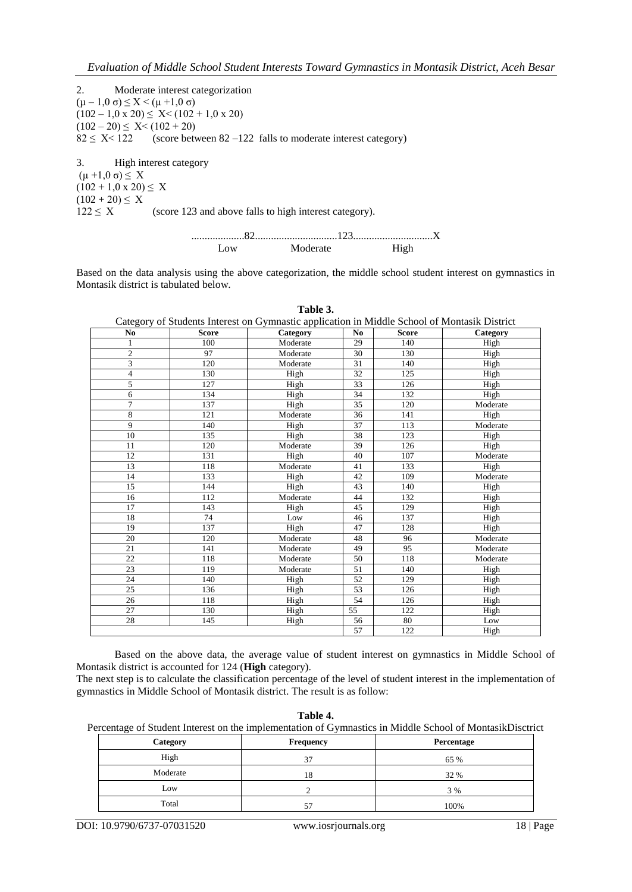2. Moderate interest categorization (µ – 1,0 σ) ≤ X < (µ +1,0 σ)  $(102 - 1.0 \times 20) \leq X < (102 + 1.0 \times 20)$  $(102 - 20) \le X < (102 + 20)$  $82 \le X \le 122$  (score between  $82 - 122$  falls to moderate interest category)

3. High interest category  $(\mu +1,0 \sigma) \leq X$  $(102 + 1, 0 \times 20) \leq X$  $(102 + 20) \le X$  $122 \le X$  (score 123 and above falls to high interest category).

> ....................82...............................123..............................X Low Moderate High

Based on the data analysis using the above categorization, the middle school student interest on gymnastics in Montasik district is tabulated below.

|                | Category of Students Interest on Gymnastic application in Middle School of Montasik District |          |                |              |          |  |
|----------------|----------------------------------------------------------------------------------------------|----------|----------------|--------------|----------|--|
| No             | <b>Score</b>                                                                                 | Category | N <sub>0</sub> | <b>Score</b> | Category |  |
| 1              | 100                                                                                          | Moderate | 29             | 140          | High     |  |
| $\overline{2}$ | 97                                                                                           | Moderate | 30             | 130          | High     |  |
| 3              | 120                                                                                          | Moderate | 31             | 140          | High     |  |
| 4              | 130                                                                                          | High     | 32             | 125          | High     |  |
| 5              | 127                                                                                          | High     | 33             | 126          | High     |  |
| 6              | 134                                                                                          | High     | 34             | 132          | High     |  |
| $\overline{7}$ | 137                                                                                          | High     | 35             | 120          | Moderate |  |
| 8              | 121                                                                                          | Moderate | 36             | 141          | High     |  |
| 9              | 140                                                                                          | High     | 37             | 113          | Moderate |  |
| 10             | 135                                                                                          | High     | 38             | 123          | High     |  |
| 11             | 120                                                                                          | Moderate | 39             | 126          | High     |  |
| 12             | 131                                                                                          | High     | 40             | 107          | Moderate |  |
| 13             | 118                                                                                          | Moderate | 41             | 133          | High     |  |
| 14             | 133                                                                                          | High     | 42             | 109          | Moderate |  |
| 15             | 144                                                                                          | High     | 43             | 140          | High     |  |
| 16             | 112                                                                                          | Moderate | 44             | 132          | High     |  |
| 17             | 143                                                                                          | High     | 45             | 129          | High     |  |
| 18             | 74                                                                                           | Low      | 46             | 137          | High     |  |
| 19             | 137                                                                                          | High     | 47             | 128          | High     |  |
| 20             | 120                                                                                          | Moderate | 48             | 96           | Moderate |  |
| 21             | 141                                                                                          | Moderate | 49             | 95           | Moderate |  |
| 22             | 118                                                                                          | Moderate | 50             | 118          | Moderate |  |
| 23             | 119                                                                                          | Moderate | 51             | 140          | High     |  |
| 24             | 140                                                                                          | High     | 52             | 129          | High     |  |
| 25             | 136                                                                                          | High     | 53             | 126          | High     |  |
| 26             | 118                                                                                          | High     | 54             | 126          | High     |  |
| 27             | 130                                                                                          | High     | 55             | 122          | High     |  |
| 28             | 145                                                                                          | High     | 56             | 80           | Low      |  |
|                |                                                                                              |          | 57             | 122          | High     |  |

**Table 3.**

Based on the above data, the average value of student interest on gymnastics in Middle School of Montasik district is accounted for 124 (**High** category).

The next step is to calculate the classification percentage of the level of student interest in the implementation of gymnastics in Middle School of Montasik district. The result is as follow:

**Table 4.**

Percentage of Student Interest on the implementation of Gymnastics in Middle School of MontasikDisctrict

| Category | <b>Frequency</b> | Percentage |  |  |
|----------|------------------|------------|--|--|
| High     | 37               | 65 %       |  |  |
| Moderate | 18               | 32 %       |  |  |
| Low      |                  | 3 %        |  |  |
| Total    | 57               | 100%       |  |  |

DOI: 10.9790/6737-07031520 www.iosrjournals.org 18 | Page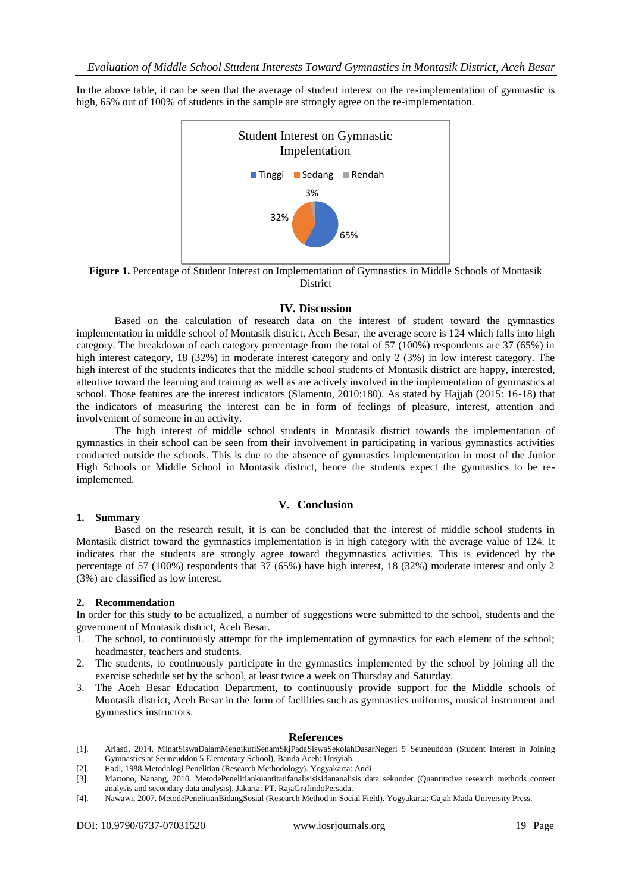In the above table, it can be seen that the average of student interest on the re-implementation of gymnastic is high, 65% out of 100% of students in the sample are strongly agree on the re-implementation.



**Figure 1.** Percentage of Student Interest on Implementation of Gymnastics in Middle Schools of Montasik **District** 

#### **IV. Discussion**

Based on the calculation of research data on the interest of student toward the gymnastics implementation in middle school of Montasik district, Aceh Besar, the average score is 124 which falls into high category. The breakdown of each category percentage from the total of 57 (100%) respondents are 37 (65%) in high interest category, 18 (32%) in moderate interest category and only 2 (3%) in low interest category. The high interest of the students indicates that the middle school students of Montasik district are happy, interested, attentive toward the learning and training as well as are actively involved in the implementation of gymnastics at school. Those features are the interest indicators (Slamento, 2010:180). As stated by Hajjah (2015: 16-18) that the indicators of measuring the interest can be in form of feelings of pleasure, interest, attention and involvement of someone in an activity.

The high interest of middle school students in Montasik district towards the implementation of gymnastics in their school can be seen from their involvement in participating in various gymnastics activities conducted outside the schools. This is due to the absence of gymnastics implementation in most of the Junior High Schools or Middle School in Montasik district, hence the students expect the gymnastics to be reimplemented.

## **V. Conclusion**

#### **1. Summary**

Based on the research result, it is can be concluded that the interest of middle school students in Montasik district toward the gymnastics implementation is in high category with the average value of 124. It indicates that the students are strongly agree toward thegymnastics activities. This is evidenced by the percentage of 57 (100%) respondents that 37 (65%) have high interest, 18 (32%) moderate interest and only 2 (3%) are classified as low interest.

#### **2. Recommendation**

In order for this study to be actualized, a number of suggestions were submitted to the school, students and the government of Montasik district, Aceh Besar.

- 1. The school, to continuously attempt for the implementation of gymnastics for each element of the school; headmaster, teachers and students.
- 2. The students, to continuously participate in the gymnastics implemented by the school by joining all the exercise schedule set by the school, at least twice a week on Thursday and Saturday.
- 3. The Aceh Besar Education Department, to continuously provide support for the Middle schools of Montasik district, Aceh Besar in the form of facilities such as gymnastics uniforms, musical instrument and gymnastics instructors.

#### **References**

- [1]. Ariasti, 2014. MinatSiswaDalamMengikutiSenamSkjPadaSiswaSekolahDasarNegeri 5 Seuneuddon (Student Interest in Joining Gymnastics at Seuneuddon 5 Elementary School), Banda Aceh: Unsyiah.
- [2]. Hadi, 1988.Metodologi Penelitian (Research Methodology). Yogyakarta: Andi
- [3]. Martono, Nanang, 2010. MetodePenelitiankuantitatifanalisisisidananalisis data sekunder (Quantitative research methods content analysis and secondary data analysis). Jakarta: PT. RajaGrafindoPersada.
- [4]. Nawawi, 2007. MetodePenelitianBidangSosial (Research Method in Social Field). Yogyakarta: Gajah Mada University Press.